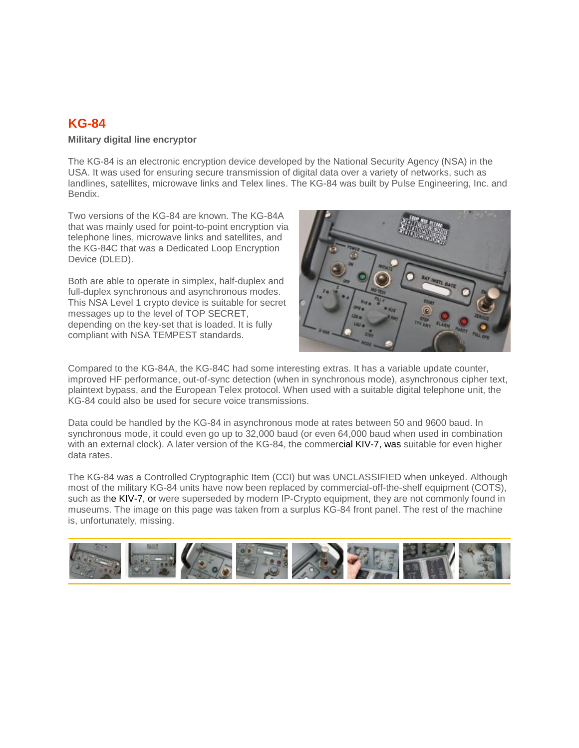## **KG-84**

## **Military digital line encryptor**

The KG-84 is an electronic encryption device developed by the National Security Agency (NSA) in the USA. It was used for ensuring secure transmission of digital data over a variety of networks, such as landlines, satellites, microwave links and Telex lines. The KG-84 was built by Pulse Engineering, Inc. and Bendix.

Two versions of the KG-84 are known. The KG-84A that was mainly used for point-to-point encryption via telephone lines, microwave links and satellites, and the KG-84C that was a Dedicated Loop Encryption Device (DLED).

Both are able to operate in simplex, half-duplex and full-duplex synchronous and asynchronous modes. This NSA Level 1 crypto device is suitable for secret messages up to the level of TOP SECRET, depending on the key-set that is loaded. It is fully compliant with NSA TEMPEST standards.



Compared to the KG-84A, the KG-84C had some interesting extras. It has a variable update counter, improved HF performance, out-of-sync detection (when in synchronous mode), asynchronous cipher text, plaintext bypass, and the European Telex protocol. When used with a suitable digital telephone unit, the KG-84 could also be used for secure voice transmissions.

Data could be handled by the KG-84 in asynchronous mode at rates between 50 and 9600 baud. In synchronous mode, it could even go up to 32,000 baud (or even 64,000 baud when used in combination with an external clock). A later version of the KG-84, the commercial KIV-7, was suitable for even higher data rates.

The KG-84 was a Controlled Cryptographic Item (CCI) but was UNCLASSIFIED when unkeyed. Although most of the military KG-84 units have now been replaced by commercial-off-the-shelf equipment (COTS), such as the KIV-7, or were superseded by modern IP-Crypto equipment, they are not commonly found in museums. The image on this page was taken from a surplus KG-84 front panel. The rest of the machine is, unfortunately, missing.